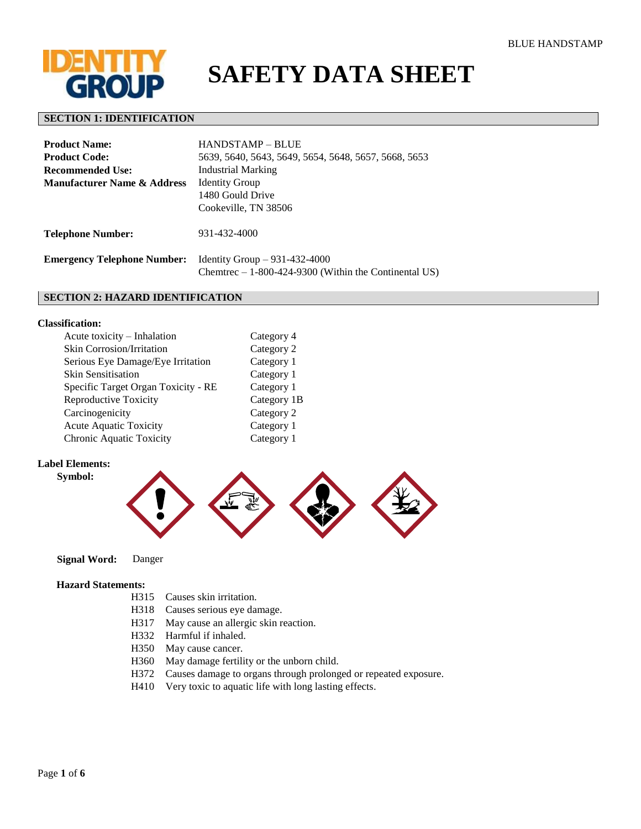

# **SAFETY DATA SHEET**

# **SECTION 1: IDENTIFICATION**

| <b>Product Name:</b>                   | <b>HANDSTAMP – BLUE</b>                                                                  |
|----------------------------------------|------------------------------------------------------------------------------------------|
| <b>Product Code:</b>                   | 5639, 5640, 5643, 5649, 5654, 5648, 5657, 5668, 5653                                     |
| <b>Recommended Use:</b>                | Industrial Marking                                                                       |
| <b>Manufacturer Name &amp; Address</b> | <b>Identity Group</b>                                                                    |
|                                        | 1480 Gould Drive                                                                         |
|                                        | Cookeville, TN 38506                                                                     |
| <b>Telephone Number:</b>               | 931-432-4000                                                                             |
| <b>Emergency Telephone Number:</b>     | Identity Group $-931-432-4000$<br>Chemetre $-1-800-424-9300$ (Within the Continental US) |

#### **SECTION 2: HAZARD IDENTIFICATION**

#### **Classification:**

| Acute toxicity - Inhalation         | Category 4  |
|-------------------------------------|-------------|
| <b>Skin Corrosion/Irritation</b>    | Category 2  |
| Serious Eye Damage/Eye Irritation   | Category 1  |
| <b>Skin Sensitisation</b>           | Category 1  |
| Specific Target Organ Toxicity - RE | Category 1  |
| <b>Reproductive Toxicity</b>        | Category 1B |
| Carcinogenicity                     | Category 2  |
| <b>Acute Aquatic Toxicity</b>       | Category 1  |
| Chronic Aquatic Toxicity            | Category 1  |
|                                     |             |

# **Label Elements: Symbol:**



 **Signal Word:** Danger

## **Hazard Statements:**

- H315 Causes skin irritation.
- H318 Causes serious eye damage.
- H317 May cause an allergic skin reaction.
- H332 Harmful if inhaled.
- H350 May cause cancer.
- H360 May damage fertility or the unborn child.
- H372 Causes damage to organs through prolonged or repeated exposure.
- H410 Very toxic to aquatic life with long lasting effects.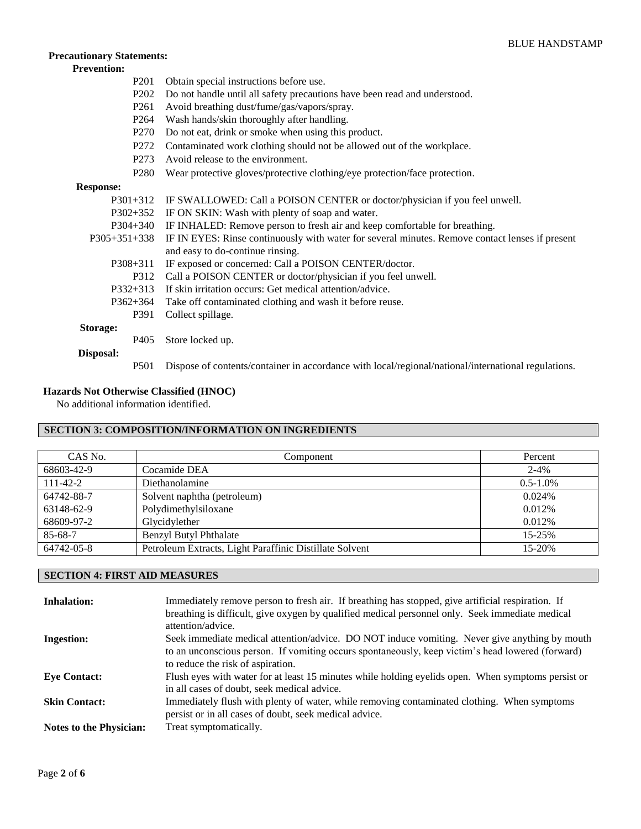# **Precautionary Statements:**

# **Prevention:**

- P201 Obtain special instructions before use.
- P202 Do not handle until all safety precautions have been read and understood.
- P261 Avoid breathing dust/fume/gas/vapors/spray.
- P264 Wash hands/skin thoroughly after handling.
- P270 Do not eat, drink or smoke when using this product.
- P272 Contaminated work clothing should not be allowed out of the workplace.
- P273 Avoid release to the environment.
- P280 Wear protective gloves/protective clothing/eye protection/face protection.

# **Response:**

| $P301+312$                                                    | IF SWALLOWED: Call a POISON CENTER or doctor/physician if you feel unwell.                          |  |
|---------------------------------------------------------------|-----------------------------------------------------------------------------------------------------|--|
| IF ON SKIN: Wash with plenty of soap and water.<br>$P302+352$ |                                                                                                     |  |
| $P304+340$                                                    | IF INHALED: Remove person to fresh air and keep comfortable for breathing.                          |  |
| $P305+351+338$                                                | IF IN EYES: Rinse continuously with water for several minutes. Remove contact lenses if present     |  |
|                                                               | and easy to do-continue rinsing.                                                                    |  |
| P308+311                                                      | IF exposed or concerned: Call a POISON CENTER/doctor.                                               |  |
| P312                                                          | Call a POISON CENTER or doctor/physician if you feel unwell.                                        |  |
| $P332+313$                                                    | If skin irritation occurs: Get medical attention/advice.                                            |  |
| $P362+364$                                                    | Take off contaminated clothing and wash it before reuse.                                            |  |
| P391                                                          | Collect spillage.                                                                                   |  |
| Storage:                                                      |                                                                                                     |  |
| P <sub>405</sub>                                              | Store locked up.                                                                                    |  |
| Disposal:                                                     |                                                                                                     |  |
| P <sub>501</sub>                                              | Dispose of contents/container in accordance with local/regional/national/international regulations. |  |

#### **Hazards Not Otherwise Classified (HNOC)**

No additional information identified.

# **SECTION 3: COMPOSITION/INFORMATION ON INGREDIENTS**

| CAS No.        | Component                                               | Percent       |
|----------------|---------------------------------------------------------|---------------|
| 68603-42-9     | Cocamide DEA                                            | $2 - 4\%$     |
| $111 - 42 - 2$ | Diethanolamine                                          | $0.5 - 1.0\%$ |
| 64742-88-7     | Solvent naphtha (petroleum)                             | 0.024%        |
| 63148-62-9     | Polydimethylsiloxane                                    | 0.012\%       |
| 68609-97-2     | Glycidylether                                           | 0.012\%       |
| 85-68-7        | <b>Benzyl Butyl Phthalate</b>                           | 15-25%        |
| 64742-05-8     | Petroleum Extracts, Light Paraffinic Distillate Solvent | 15-20%        |

# **SECTION 4: FIRST AID MEASURES**

| <b>Inhalation:</b>             | Immediately remove person to fresh air. If breathing has stopped, give artificial respiration. If<br>breathing is difficult, give oxygen by qualified medical personnel only. Seek immediate medical<br>attention/advice.              |
|--------------------------------|----------------------------------------------------------------------------------------------------------------------------------------------------------------------------------------------------------------------------------------|
| <b>Ingestion:</b>              | Seek immediate medical attention/advice. DO NOT induce vomiting. Never give anything by mouth<br>to an unconscious person. If vomiting occurs spontaneously, keep victim's head lowered (forward)<br>to reduce the risk of aspiration. |
| <b>Eve Contact:</b>            | Flush eyes with water for at least 15 minutes while holding eyelids open. When symptoms persist or<br>in all cases of doubt, seek medical advice.                                                                                      |
| <b>Skin Contact:</b>           | Immediately flush with plenty of water, while removing contaminated clothing. When symptoms<br>persist or in all cases of doubt, seek medical advice.                                                                                  |
| <b>Notes to the Physician:</b> | Treat symptomatically.                                                                                                                                                                                                                 |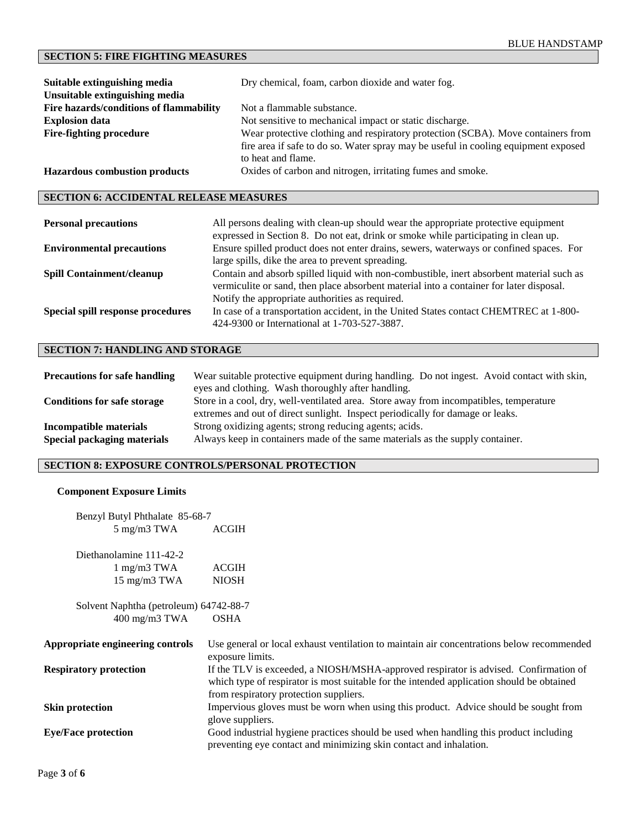# **SECTION 5: FIRE FIGHTING MEASURES**

| Suitable extinguishing media                                                                                       | Dry chemical, foam, carbon dioxide and water fog.                                  |  |  |  |
|--------------------------------------------------------------------------------------------------------------------|------------------------------------------------------------------------------------|--|--|--|
| Unsuitable extinguishing media                                                                                     |                                                                                    |  |  |  |
| Fire hazards/conditions of flammability                                                                            | Not a flammable substance.                                                         |  |  |  |
| <b>Explosion data</b>                                                                                              | Not sensitive to mechanical impact or static discharge.                            |  |  |  |
| Wear protective clothing and respiratory protection (SCBA). Move containers from<br><b>Fire-fighting procedure</b> |                                                                                    |  |  |  |
|                                                                                                                    | fire area if safe to do so. Water spray may be useful in cooling equipment exposed |  |  |  |
|                                                                                                                    | to heat and flame.                                                                 |  |  |  |
| <b>Hazardous combustion products</b>                                                                               | Oxides of carbon and nitrogen, irritating fumes and smoke.                         |  |  |  |

## **SECTION 6: ACCIDENTAL RELEASE MEASURES**

| <b>Personal precautions</b>       | All persons dealing with clean-up should wear the appropriate protective equipment<br>expressed in Section 8. Do not eat, drink or smoke while participating in clean up.                                                              |
|-----------------------------------|----------------------------------------------------------------------------------------------------------------------------------------------------------------------------------------------------------------------------------------|
| <b>Environmental precautions</b>  | Ensure spilled product does not enter drains, sewers, waterways or confined spaces. For<br>large spills, dike the area to prevent spreading.                                                                                           |
| <b>Spill Containment/cleanup</b>  | Contain and absorb spilled liquid with non-combustible, inert absorbent material such as<br>vermiculite or sand, then place absorbent material into a container for later disposal.<br>Notify the appropriate authorities as required. |
| Special spill response procedures | In case of a transportation accident, in the United States contact CHEMTREC at 1-800-<br>424-9300 or International at 1-703-527-3887.                                                                                                  |

# **SECTION 7: HANDLING AND STORAGE**

| <b>Precautions for safe handling</b> | Wear suitable protective equipment during handling. Do not ingest. Avoid contact with skin, |
|--------------------------------------|---------------------------------------------------------------------------------------------|
|                                      | eyes and clothing. Wash thoroughly after handling.                                          |
| <b>Conditions for safe storage</b>   | Store in a cool, dry, well-ventilated area. Store away from incompatibles, temperature      |
|                                      | extremes and out of direct sunlight. Inspect periodically for damage or leaks.              |
| Incompatible materials               | Strong oxidizing agents; strong reducing agents; acids.                                     |
| <b>Special packaging materials</b>   | Always keep in containers made of the same materials as the supply container.               |

# **SECTION 8: EXPOSURE CONTROLS/PERSONAL PROTECTION**

#### **Component Exposure Limits**

| Benzyl Butyl Phthalate 85-68-7         |                                                                                                                                                                                                                             |
|----------------------------------------|-----------------------------------------------------------------------------------------------------------------------------------------------------------------------------------------------------------------------------|
| $5 \text{ mg/m}3 \text{ TWA}$          | ACGIH                                                                                                                                                                                                                       |
| Diethanolamine 111-42-2                |                                                                                                                                                                                                                             |
| $1 \text{ mg/m}3 \text{ TWA}$          | <b>ACGIH</b>                                                                                                                                                                                                                |
| $15 \text{ mg/m}3 \text{ TWA}$         | <b>NIOSH</b>                                                                                                                                                                                                                |
| Solvent Naphtha (petroleum) 64742-88-7 |                                                                                                                                                                                                                             |
| $400 \text{ mg/m}$ 3 TWA               | <b>OSHA</b>                                                                                                                                                                                                                 |
| Appropriate engineering controls       | Use general or local exhaust ventilation to maintain air concentrations below recommended<br>exposure limits.                                                                                                               |
| <b>Respiratory protection</b>          | If the TLV is exceeded, a NIOSH/MSHA-approved respirator is advised. Confirmation of<br>which type of respirator is most suitable for the intended application should be obtained<br>from respiratory protection suppliers. |
| <b>Skin protection</b>                 | Impervious gloves must be worn when using this product. Advice should be sought from<br>glove suppliers.                                                                                                                    |
| <b>Eye/Face protection</b>             | Good industrial hygiene practices should be used when handling this product including<br>preventing eye contact and minimizing skin contact and inhalation.                                                                 |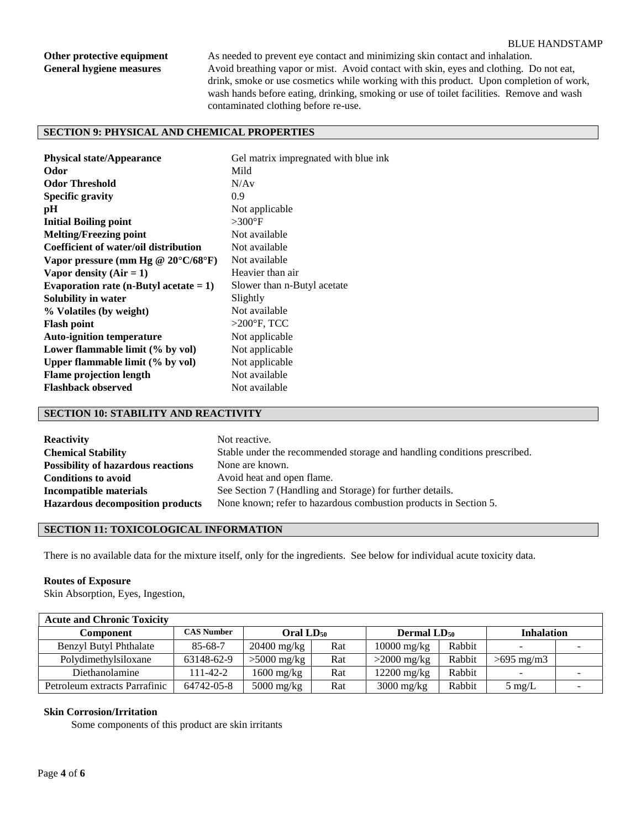#### BLUE HANDSTAMP

**Other protective equipment** As needed to prevent eye contact and minimizing skin contact and inhalation. General hygiene measures Avoid breathing vapor or mist. Avoid contact with skin, eyes and clothing. Do not eat, drink, smoke or use cosmetics while working with this product. Upon completion of work, wash hands before eating, drinking, smoking or use of toilet facilities. Remove and wash contaminated clothing before re-use.

# **SECTION 9: PHYSICAL AND CHEMICAL PROPERTIES**

| <b>Physical state/Appearance</b>             | Gel matrix impregnated with blue ink |
|----------------------------------------------|--------------------------------------|
| Odor                                         | Mild                                 |
| <b>Odor Threshold</b>                        | N/Av                                 |
| Specific gravity                             | 0.9                                  |
| pH                                           | Not applicable                       |
| <b>Initial Boiling point</b>                 | $>300^{\circ}$ F                     |
| <b>Melting/Freezing point</b>                | Not available                        |
| Coefficient of water/oil distribution        | Not available                        |
| Vapor pressure (mm Hg @ $20^{\circ}$ C/68°F) | Not available                        |
| Vapor density $(Air = 1)$                    | Heavier than air                     |
| Evaporation rate (n-Butyl acetate $= 1$ )    | Slower than n-Butyl acetate          |
| Solubility in water                          | Slightly                             |
| % Volatiles (by weight)                      | Not available                        |
| <b>Flash point</b>                           | $>200^\circ F$ , TCC                 |
| <b>Auto-ignition temperature</b>             | Not applicable                       |
| Lower flammable limit (% by vol)             | Not applicable                       |
| Upper flammable limit (% by vol)             | Not applicable                       |
| <b>Flame projection length</b>               | Not available                        |
| <b>Flashback observed</b>                    | Not available                        |
|                                              |                                      |

#### **SECTION 10: STABILITY AND REACTIVITY**

| <b>Reactivity</b>                         | Not reactive.                                                            |
|-------------------------------------------|--------------------------------------------------------------------------|
| <b>Chemical Stability</b>                 | Stable under the recommended storage and handling conditions prescribed. |
| <b>Possibility of hazardous reactions</b> | None are known.                                                          |
| <b>Conditions to avoid</b>                | Avoid heat and open flame.                                               |
| Incompatible materials                    | See Section 7 (Handling and Storage) for further details.                |
| <b>Hazardous decomposition products</b>   | None known; refer to hazardous combustion products in Section 5.         |

# **SECTION 11: TOXICOLOGICAL INFORMATION**

There is no available data for the mixture itself, only for the ingredients. See below for individual acute toxicity data.

#### **Routes of Exposure**

Skin Absorption, Eyes, Ingestion,

| <b>Acute and Chronic Toxicity</b> |                   |                       |     |                                |        |                   |  |
|-----------------------------------|-------------------|-----------------------|-----|--------------------------------|--------|-------------------|--|
| Component                         | <b>CAS Number</b> | Oral LD <sub>50</sub> |     | <b>Dermal LD</b> <sub>50</sub> |        | <b>Inhalation</b> |  |
| <b>Benzyl Butyl Phthalate</b>     | $85 - 68 - 7$     | $20400$ mg/kg         | Rat | $10000 \text{ mg/kg}$          | Rabbit |                   |  |
| Polydimethylsiloxane              | 63148-62-9        | $>5000$ mg/kg         | Rat | $>2000$ mg/kg                  | Rabbit | $>695$ mg/m3      |  |
| Diethanolamine                    | $11-42-2$         | $1600$ mg/kg          | Rat | $12200$ mg/kg                  | Rabbit |                   |  |
| Petroleum extracts Parrafinic     | 64742-05-8        | $5000$ mg/kg          | Rat | $3000$ mg/kg                   | Rabbit | $5 \text{ mg/L}$  |  |

#### **Skin Corrosion/Irritation**

Some components of this product are skin irritants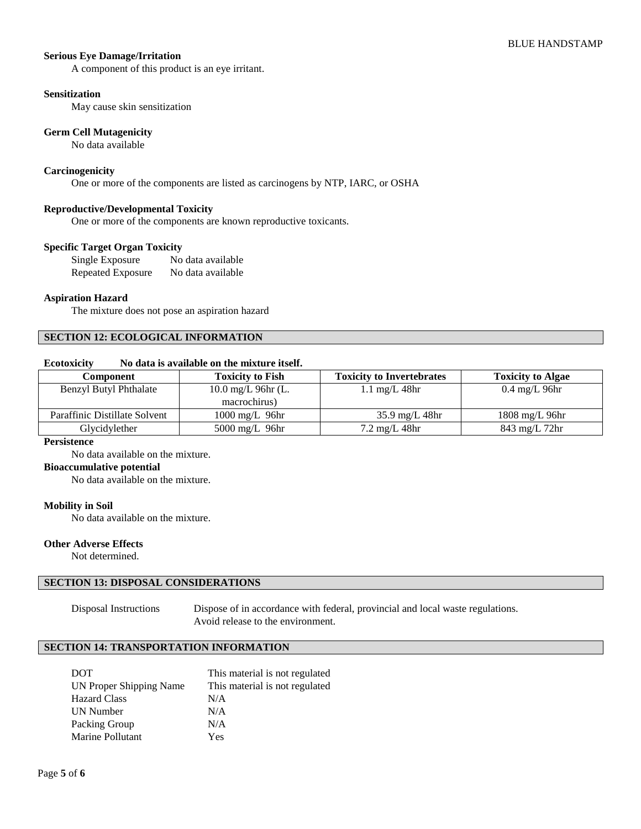#### **Serious Eye Damage/Irritation**

A component of this product is an eye irritant.

#### **Sensitization**

May cause skin sensitization

#### **Germ Cell Mutagenicity**

No data available

#### **Carcinogenicity**

One or more of the components are listed as carcinogens by NTP, IARC, or OSHA

#### **Reproductive/Developmental Toxicity**

One or more of the components are known reproductive toxicants.

## **Specific Target Organ Toxicity**

Single Exposure No data available Repeated Exposure No data available

#### **Aspiration Hazard**

The mixture does not pose an aspiration hazard

#### **SECTION 12: ECOLOGICAL INFORMATION**

# **Ecotoxicity No data is available on the mixture itself.**

| Component                     | <b>Toxicity to Fish</b>         | <b>Toxicity to Invertebrates</b> | <b>Toxicity to Algae</b> |
|-------------------------------|---------------------------------|----------------------------------|--------------------------|
| <b>Benzyl Butyl Phthalate</b> | $10.0 \,\mathrm{mg/L}$ 96hr (L. | $1.1 \text{ mg/L}$ 48hr          | $0.4 \text{ mg/L}$ 96hr  |
|                               | macrochirus)                    |                                  |                          |
| Paraffinic Distillate Solvent | $1000 \text{ mg/L}$ 96hr        | $35.9 \text{ mg/L}$ 48hr         | $1808 \text{ mg/L}$ 96hr |
| Glycidylether                 | $5000 \text{ mg/L}$ 96hr        | $7.2 \text{ mg/L}$ 48hr          | 843 mg/L 72hr            |

#### **Persistence**

No data available on the mixture.

#### **Bioaccumulative potential**

No data available on the mixture.

#### **Mobility in Soil**

No data available on the mixture.

#### **Other Adverse Effects**

Not determined.

#### **SECTION 13: DISPOSAL CONSIDERATIONS**

Disposal Instructions Dispose of in accordance with federal, provincial and local waste regulations. Avoid release to the environment.

#### **SECTION 14: TRANSPORTATION INFORMATION**

| <b>DOT</b>              | This material is not regulated |
|-------------------------|--------------------------------|
| UN Proper Shipping Name | This material is not regulated |
| <b>Hazard Class</b>     | N/A                            |
| UN Number               | N/A                            |
| Packing Group           | N/A                            |
| Marine Pollutant        | Yes                            |